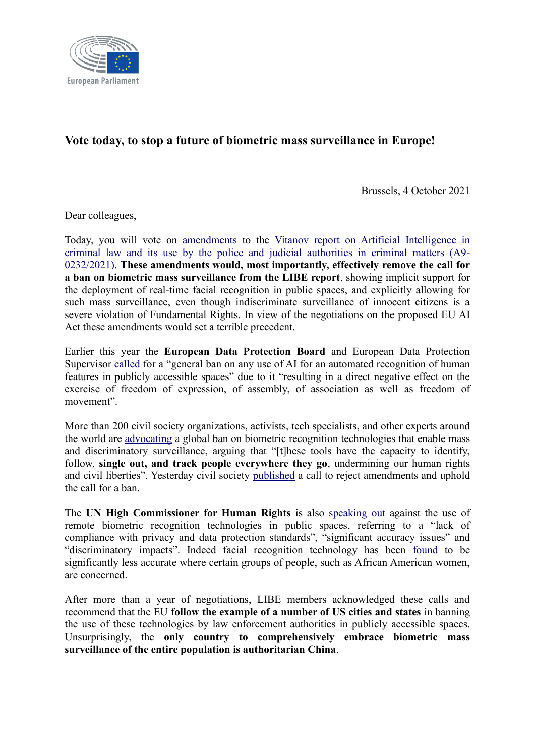

## **Vote today, to stop a future of biometric mass surveillance in Europe!**

Brussels, 4 October 2021

Dear colleagues,

Today, you will vote on [amendments](https://www.europarl.europa.eu/doceo/document/A-9-2021-0232-AM-001-003_EN.pdf) to the [Vitanov report on Artificial Intelligence in](https://www.europarl.europa.eu/doceo/document/A-9-2021-0232_EN.html)  [criminal law and its use by the police and judicial authorities in criminal matters \(A9-](https://www.europarl.europa.eu/doceo/document/A-9-2021-0232_EN.html) [0232/2021\).](https://www.europarl.europa.eu/doceo/document/A-9-2021-0232_EN.html) **These amendments would, most importantly, effectively remove the call for a ban on biometric mass surveillance from the LIBE report**, showing implicit support for the deployment of real-time facial recognition in public spaces, and explicitly allowing for such mass surveillance, even though indiscriminate surveillance of innocent citizens is a severe violation of Fundamental Rights. In view of the negotiations on the proposed EU AI Act these amendments would set a terrible precedent.

Earlier this year the **European Data Protection Board** and European Data Protection Supervisor [called](https://edpb.europa.eu/system/files/2021-06/edpb-edps_joint_opinion_ai_regulation_en.pdf) for a "general ban on any use of AI for an automated recognition of human features in publicly accessible spaces" due to it "resulting in a direct negative effect on the exercise of freedom of expression, of assembly, of association as well as freedom of movement".

More than 200 civil society organizations, activists, tech specialists, and other experts around the world are [advocating](https://www.accessnow.org/ban-biometric-surveillance/) a global ban on biometric recognition technologies that enable mass and discriminatory surveillance, arguing that "[t]hese tools have the capacity to identify, follow, **single out, and track people everywhere they go**, undermining our human rights and civil liberties". Yesterday civil society [published](https://edri.org/wp-content/uploads/2021/10/Civil-society-open-letter-ai-criminal-law-FINAL.pdf) a call to reject amendments and uphold the call for a ban.

The **UN High Commissioner for Human Rights** is also [speaking out](https://www.ohchr.org/EN/HRBodies/HRC/RegularSessions/Session48/Documents/A_HRC_48_31_AdvanceEditedVersion.docx) against the use of remote biometric recognition technologies in public spaces, referring to a "lack of compliance with privacy and data protection standards", "significant accuracy issues" and "discriminatory impacts". Indeed facial recognition technology has been [found](https://www.nist.gov/news-events/news/2019/12/nist-study-evaluates-effects-race-age-sex-face-recognition-software) to be significantly less accurate where certain groups of people, such as African American women, are concerned.

After more than a year of negotiations, LIBE members acknowledged these calls and recommend that the EU **follow the example of a number of US cities and states** in banning the use of these technologies by law enforcement authorities in publicly accessible spaces. Unsurprisingly, the **only country to comprehensively embrace biometric mass surveillance of the entire population is authoritarian China**.